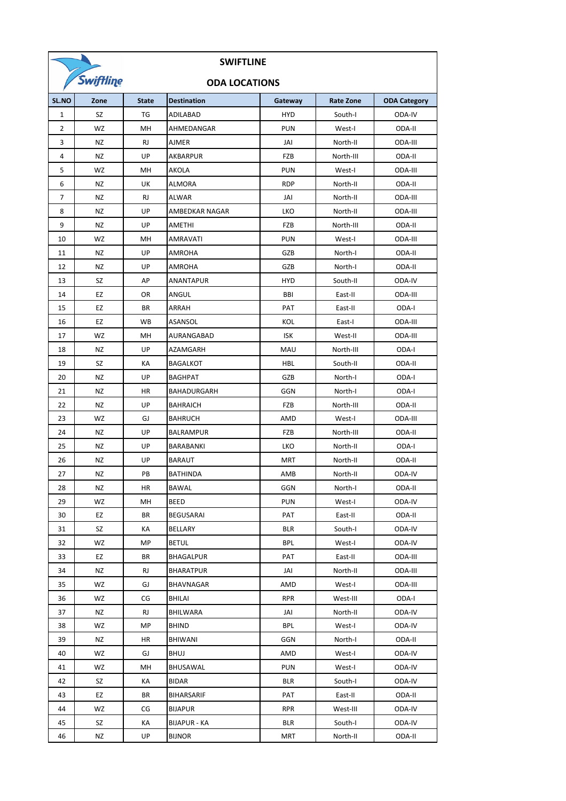|              | <b>SWIFTLINE</b> |              |                      |            |                  |                     |
|--------------|------------------|--------------|----------------------|------------|------------------|---------------------|
|              | Swiftling        |              | <b>ODA LOCATIONS</b> |            |                  |                     |
| SL.NO        | Zone             | <b>State</b> | <b>Destination</b>   | Gateway    | <b>Rate Zone</b> | <b>ODA Category</b> |
| $\mathbf{1}$ | SZ               | TG           | ADILABAD             | <b>HYD</b> | South-I          | ODA-IV              |
| 2            | WZ               | MH           | AHMEDANGAR           | <b>PUN</b> | West-I           | ODA-II              |
| 3            | NZ               | <b>RJ</b>    | <b>AJMER</b>         | JAI        | North-II         | ODA-III             |
| 4            | <b>NZ</b>        | UP           | AKBARPUR             | <b>FZB</b> | North-III        | ODA-II              |
| 5            | WZ               | MН           | <b>AKOLA</b>         | <b>PUN</b> | West-I           | ODA-III             |
| 6            | NZ               | UK           | <b>ALMORA</b>        | <b>RDP</b> | North-II         | ODA-II              |
| 7            | <b>NZ</b>        | <b>RJ</b>    | <b>ALWAR</b>         | JAI        | North-II         | ODA-III             |
| 8            | <b>NZ</b>        | UP           | AMBEDKAR NAGAR       | LKO        | North-II         | ODA-III             |
| 9            | NZ               | UP           | AMETHI               | <b>FZB</b> | North-III        | ODA-II              |
| 10           | <b>WZ</b>        | MН           | <b>AMRAVATI</b>      | <b>PUN</b> | West-I           | ODA-III             |
| 11           | NZ               | UP           | AMROHA               | GZB        | North-I          | ODA-II              |
| 12           | NZ               | UP           | AMROHA               | GZB        | North-I          | ODA-II              |
| 13           | SZ               | АP           | ANANTAPUR            | <b>HYD</b> | South-II         | ODA-IV              |
| 14           | EZ               | OR           | ANGUL                | BBI        | East-II          | ODA-III             |
| 15           | ΕZ               | ΒR           | ARRAH                | PAT        | East-II          | ODA-I               |
| 16           | EZ               | <b>WB</b>    | ASANSOL              | KOL        | East-I           | ODA-III             |
| 17           | WZ               | MН           | AURANGABAD           | <b>ISK</b> | West-II          | ODA-III             |
| 18           | NZ               | UP           | AZAMGARH             | MAU        | North-III        | ODA-I               |
| 19           | SZ               | КA           | <b>BAGALKOT</b>      | <b>HBL</b> | South-II         | ODA-II              |
| 20           | <b>NZ</b>        | UP           | <b>BAGHPAT</b>       | GZB        | North-I          | ODA-I               |
| 21           | <b>NZ</b>        | HR           | BAHADURGARH          | GGN        | North-I          | ODA-I               |
| 22           | NZ               | UP           | <b>BAHRAICH</b>      | FZB        | North-III        | ODA-II              |
| 23           | WZ               | GJ           | <b>BAHRUCH</b>       | AMD        | West-I           | ODA-III             |
| 24           | <b>NZ</b>        | UP           | <b>BALRAMPUR</b>     | <b>FZB</b> | North-III        | ODA-II              |
| 25           | NZ               | UP           | BARABANKI            | LKO        | North-II         | ODA-I               |
| 26           | <b>NZ</b>        | UP           | <b>BARAUT</b>        | <b>MRT</b> | North-II         | ODA-II              |
| 27           | <b>NZ</b>        | PB           | <b>BATHINDA</b>      | AMB        | North-II         | ODA-IV              |
| 28           | NZ               | HR           | BAWAL                | GGN        | North-I          | ODA-II              |
| 29           | WZ               | MН           | BEED                 | <b>PUN</b> | West-I           | ODA-IV              |
| 30           | EZ               | ΒR           | <b>BEGUSARAI</b>     | PAT        | East-II          | ODA-II              |
| 31           | SZ               | КA           | BELLARY              | BLR        | South-I          | ODA-IV              |
| 32           | WZ               | МP           | <b>BETUL</b>         | BPL        | West-I           | ODA-IV              |
| 33           | EZ               | ΒR           | <b>BHAGALPUR</b>     | PAT        | East-II          | ODA-III             |
| 34           | NZ               | RJ           | <b>BHARATPUR</b>     | JAI        | North-II         | ODA-III             |
| 35           | WZ               | GJ           | BHAVNAGAR            | AMD        | West-I           | ODA-III             |
| 36           | WZ               | CG           | BHILAI               | <b>RPR</b> | West-III         | ODA-I               |
| 37           | NZ               | RJ           | BHILWARA             | JAI        | North-II         | ODA-IV              |
| 38           | WZ               | MP           | <b>BHIND</b>         | BPL        | West-I           | ODA-IV              |
| 39           | NZ               | HR           | <b>BHIWANI</b>       | GGN        | North-I          | ODA-II              |
| 40           | WZ               | GJ           | <b>BHUJ</b>          | AMD        | West-I           | ODA-IV              |
| 41           | WZ               | MН           | BHUSAWAL             | <b>PUN</b> | West-I           | ODA-IV              |
| 42           | SZ               | KА           | BIDAR                | BLR        | South-I          | ODA-IV              |
| 43           | EZ               | ΒR           | <b>BIHARSARIF</b>    | PAT        | East-II          | ODA-II              |
| 44           | WZ               | CG           | <b>BIJAPUR</b>       | <b>RPR</b> | West-III         | ODA-IV              |
| 45           | SZ               | КA           | <b>BIJAPUR - KA</b>  | BLR        | South-I          | ODA-IV              |
| 46           | NZ               | UP           | <b>BIJNOR</b>        | <b>MRT</b> | North-II         | ODA-II              |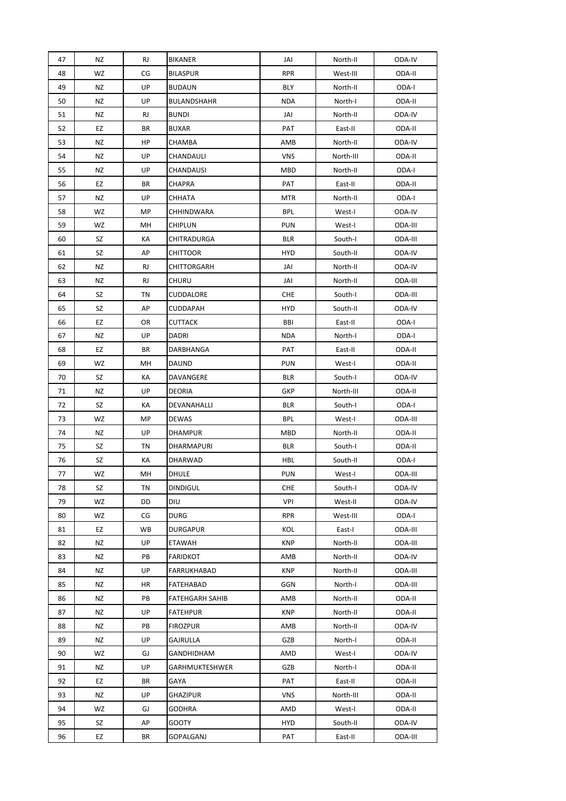| 47 | <b>NZ</b> | <b>RJ</b> | <b>BIKANER</b>         | JAI        | North-II  | ODA-IV  |
|----|-----------|-----------|------------------------|------------|-----------|---------|
| 48 | WZ        | CG        | <b>BILASPUR</b>        | <b>RPR</b> | West-III  | ODA-II  |
| 49 | NZ        | UP        | <b>BUDAUN</b>          | BLY        | North-II  | ODA-I   |
| 50 | NZ        | UP        | <b>BULANDSHAHR</b>     | <b>NDA</b> | North-I   | ODA-II  |
| 51 | NZ        | RJ        | <b>BUNDI</b>           | JAI        | North-II  | ODA-IV  |
| 52 | EZ        | BR        | <b>BUXAR</b>           | PAT        | East-II   | ODA-II  |
| 53 | NZ        | HP        | CHAMBA                 | AMB        | North-II  | ODA-IV  |
| 54 | NZ        | UP        | CHANDAULI              | <b>VNS</b> | North-III | ODA-II  |
| 55 | NZ        | UP        | CHANDAUSI              | MBD        | North-II  | ODA-I   |
| 56 | EZ        | BR        | CHAPRA                 | PAT        | East-II   | ODA-II  |
| 57 | NZ        | UP        | CHHATA                 | <b>MTR</b> | North-II  | ODA-I   |
| 58 | WZ        | MP        | CHHINDWARA             | <b>BPL</b> | West-I    | ODA-IV  |
| 59 | WZ        | MН        | CHIPLUN                | <b>PUN</b> | West-I    | ODA-III |
| 60 | SZ        | КA        | CHITRADURGA            | <b>BLR</b> | South-I   | ODA-III |
| 61 | SZ        | AP        | <b>CHITTOOR</b>        | HYD        | South-II  | ODA-IV  |
| 62 | ΝZ        | RJ        | CHITTORGARH            | JAI        | North-II  | ODA-IV  |
| 63 | ΝZ        | RJ        | CHURU                  | JAI        | North-II  | ODA-III |
| 64 | SZ        | ΤN        | CUDDALORE              | <b>CHE</b> | South-I   | ODA-III |
| 65 | SZ        | AP        | <b>CUDDAPAH</b>        | HYD        | South-II  | ODA-IV  |
| 66 | EZ        | OR        | <b>CUTTACK</b>         | BBI        | East-II   | ODA-I   |
| 67 | ΝZ        | UP        | DADRI                  | <b>NDA</b> | North-I   | ODA-I   |
| 68 | EZ        | BR        | DARBHANGA              | PAT        | East-II   | ODA-II  |
| 69 | WZ        | MН        | <b>DAUND</b>           | <b>PUN</b> | West-I    | ODA-II  |
| 70 | SZ        | КA        | DAVANGERE              | <b>BLR</b> | South-I   | ODA-IV  |
| 71 | ΝZ        | UP        | DEORIA                 | GKP        | North-III | ODA-II  |
| 72 | SZ        | КA        | DEVANAHALLI            | <b>BLR</b> | South-I   | ODA-I   |
| 73 | WZ        | MP        | <b>DEWAS</b>           | <b>BPL</b> | West-I    | ODA-III |
| 74 | ΝZ        | UP        | <b>DHAMPUR</b>         | MBD        | North-II  | ODA-II  |
| 75 | SZ        | ΤN        | DHARMAPURI             | <b>BLR</b> | South-I   | ODA-II  |
| 76 | SZ        | КA        | DHARWAD                | <b>HBL</b> | South-II  | ODA-I   |
| 77 | WZ        | MH        | <b>DHULE</b>           | <b>PUN</b> | West-I    | ODA-III |
| 78 | SZ        | ΤN        | <b>DINDIGUL</b>        | <b>CHE</b> | South-I   | ODA-IV  |
| 79 | WZ        | DD        | DIU                    | VPI        | West-II   | ODA-IV  |
| 80 | WZ        | CG        | <b>DURG</b>            | <b>RPR</b> | West-III  | ODA-I   |
| 81 | EZ        | WB        | <b>DURGAPUR</b>        | KOL        | East-I    | ODA-III |
| 82 | ΝZ        | UP        | ETAWAH                 | <b>KNP</b> | North-II  | ODA-III |
| 83 | ΝZ        | PB        | <b>FARIDKOT</b>        | AMB        | North-II  | ODA-IV  |
| 84 | ΝZ        | UP        | <b>FARRUKHABAD</b>     | <b>KNP</b> | North-II  | ODA-III |
| 85 | ΝZ        | HR        | FATEHABAD              | GGN        | North-I   | ODA-III |
| 86 | ΝZ        | PB        | <b>FATEHGARH SAHIB</b> | AMB        | North-II  | ODA-II  |
| 87 | ΝZ        | UP        | <b>FATEHPUR</b>        | <b>KNP</b> | North-II  | ODA-II  |
| 88 | ΝZ        | PB        | <b>FIROZPUR</b>        | AMB        | North-II  | ODA-IV  |
| 89 | ΝZ        | UP        | GAJRULLA               | GZB        | North-I   | ODA-II  |
| 90 | WZ        | GJ        | GANDHIDHAM             | AMD        | West-I    | ODA-IV  |
| 91 | ΝZ        | UP        | GARHMUKTESHWER         | GZB        | North-I   | ODA-II  |
| 92 | EZ        | ΒR        | GAYA                   | PAT        | East-II   | ODA-II  |
| 93 | ΝZ        | UP        | <b>GHAZIPUR</b>        | <b>VNS</b> | North-III | ODA-II  |
| 94 | WZ        | GJ        | <b>GODHRA</b>          | AMD        | West-I    | ODA-II  |
| 95 | SZ        | AP        | <b>GOOTY</b>           | <b>HYD</b> | South-II  | ODA-IV  |
| 96 | EZ        | ΒR        | GOPALGANJ              | PAT        | East-II   | ODA-III |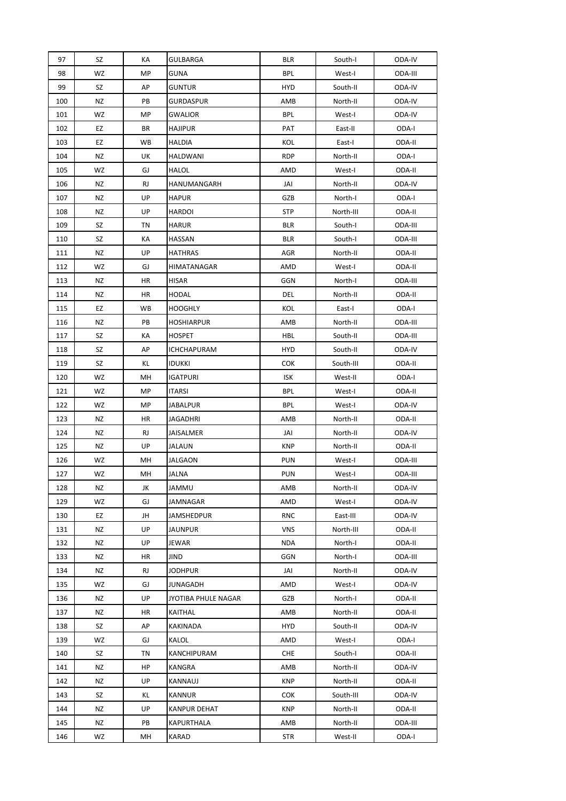| 97  | SZ | КA        | GULBARGA            | <b>BLR</b> | South-I   | ODA-IV  |
|-----|----|-----------|---------------------|------------|-----------|---------|
| 98  | WZ | МP        | GUNA                | <b>BPL</b> | West-I    | ODA-III |
| 99  | SZ | AP        | GUNTUR              | <b>HYD</b> | South-II  | ODA-IV  |
| 100 | NZ | PB        | <b>GURDASPUR</b>    | AMB        | North-II  | ODA-IV  |
| 101 | WZ | MP        | GWALIOR             | BPL        | West-I    | ODA-IV  |
| 102 | EZ | ΒR        | HAJIPUR             | PAT        | East-II   | ODA-I   |
| 103 | EZ | WB        | HALDIA              | KOL        | East-I    | ODA-II  |
| 104 | ΝZ | UK        | HALDWANI            | <b>RDP</b> | North-II  | ODA-I   |
| 105 | WZ | GJ        | <b>HALOL</b>        | AMD        | West-I    | ODA-II  |
| 106 | ΝZ | <b>RJ</b> | HANUMANGARH         | JAI        | North-II  | ODA-IV  |
| 107 | NZ | UP        | <b>HAPUR</b>        | GZB        | North-I   | ODA-I   |
| 108 | ΝZ | UP        | <b>HARDOI</b>       | <b>STP</b> | North-III | ODA-II  |
| 109 | SZ | TN        | HARUR               | BLR        | South-I   | ODA-III |
| 110 | SZ | КA        | HASSAN              | BLR        | South-I   | ODA-III |
| 111 | ΝZ | UP        | <b>HATHRAS</b>      | AGR        | North-II  | ODA-II  |
| 112 | WZ | GJ        | HIMATANAGAR         | AMD        | West-I    | ODA-II  |
| 113 | ΝZ | HR        | HISAR               | GGN        | North-I   | ODA-III |
| 114 | NZ | HR        | HODAL               | DEL        | North-II  | ODA-II  |
| 115 | EZ | WB        | <b>HOOGHLY</b>      | KOL        | East-I    | ODA-I   |
| 116 | ΝZ | PB        | HOSHIARPUR          | AMB        | North-II  | ODA-III |
| 117 | SZ | КA        | <b>HOSPET</b>       | HBL        | South-II  | ODA-III |
| 118 | SZ | AP        | ICHCHAPURAM         | <b>HYD</b> | South-II  | ODA-IV  |
| 119 | SZ | ΚL        | <b>IDUKKI</b>       | <b>COK</b> | South-III | ODA-II  |
|     | WZ | MН        |                     | ISK        |           | ODA-I   |
| 120 |    |           | <b>IGATPURI</b>     |            | West-II   |         |
| 121 | WZ | MP        | ITARSI              | <b>BPL</b> | West-I    | ODA-II  |
| 122 | WZ | МP        | JABALPUR            | <b>BPL</b> | West-I    | ODA-IV  |
| 123 | ΝZ | HR        | <b>JAGADHRI</b>     | AMB        | North-II  | ODA-II  |
| 124 | ΝZ | RJ        | JAISALMER           | JAI        | North-II  | ODA-IV  |
| 125 | ΝZ | UP        | JALAUN              | KNP        | North-II  | ODA-II  |
| 126 | WZ | MН        | <b>JALGAON</b>      | <b>PUN</b> | West-I    | ODA-III |
| 127 | WZ | MН        | <b>JALNA</b>        | <b>PUN</b> | West-I    | ODA-III |
| 128 | ΝZ | JK        | JAMMU               | AMB        | North-II  | ODA-IV  |
| 129 | WZ | GJ        | JAMNAGAR            | AMD        | West-I    | ODA-IV  |
| 130 | EZ | JH        | JAMSHEDPUR          | <b>RNC</b> | East-III  | ODA-IV  |
| 131 | ΝZ | UP        | JAUNPUR             | <b>VNS</b> | North-III | ODA-II  |
| 132 | NZ | UP        | JEWAR               | <b>NDA</b> | North-I   | ODA-II  |
| 133 | ΝZ | HR        | JIND                | GGN        | North-I   | ODA-III |
| 134 | ΝZ | RJ        | JODHPUR             | JAI        | North-II  | ODA-IV  |
| 135 | WZ | GJ        | JUNAGADH            | AMD        | West-I    | ODA-IV  |
| 136 | ΝZ | UP        | JYOTIBA PHULE NAGAR | GZB        | North-I   | ODA-II  |
| 137 | ΝZ | HR        | KAITHAL             | AMB        | North-II  | ODA-II  |
| 138 | SZ | AP        | KAKINADA            | <b>HYD</b> | South-II  | ODA-IV  |
| 139 | WZ | GJ        | KALOL               | AMD        | West-I    | ODA-I   |
| 140 | SZ | TN        | KANCHIPURAM         | <b>CHE</b> | South-I   | ODA-II  |
| 141 | NZ | HP        | KANGRA              | AMB        | North-II  | ODA-IV  |
| 142 | ΝZ | UP        | KANNAUJ             | <b>KNP</b> | North-II  | ODA-II  |
| 143 | SZ | ΚL        | KANNUR              | <b>COK</b> | South-III | ODA-IV  |
| 144 | ΝZ | UP        | <b>KANPUR DEHAT</b> | <b>KNP</b> | North-II  | ODA-II  |
| 145 | NZ | PB        | KAPURTHALA          | AMB        | North-II  | ODA-III |
| 146 | WZ | MН        | <b>KARAD</b>        | <b>STR</b> | West-II   | ODA-I   |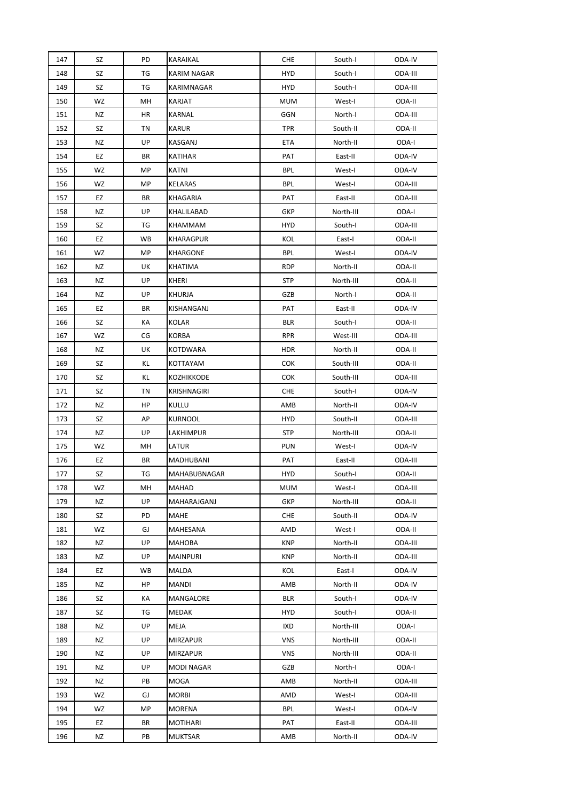| 147 | SZ | PD | KARAIKAL          | <b>CHE</b> | South-I   | ODA-IV  |
|-----|----|----|-------------------|------------|-----------|---------|
| 148 | SZ | TG | KARIM NAGAR       | <b>HYD</b> | South-I   | ODA-III |
| 149 | SZ | TG | KARIMNAGAR        | <b>HYD</b> | South-I   | ODA-III |
| 150 | WZ | MН | KARJAT            | MUM        | West-I    | ODA-II  |
| 151 | NZ | HR | KARNAL            | <b>GGN</b> | North-I   | ODA-III |
| 152 | SZ | ΤN | KARUR             | TPR        | South-II  | ODA-II  |
| 153 | NZ | UP | KASGANJ           | <b>ETA</b> | North-II  | ODA-I   |
| 154 | EZ | BR | KATIHAR           | PAT        | East-II   | ODA-IV  |
| 155 | WZ | МP | KATNI             | BPL        | West-I    | ODA-IV  |
| 156 | WZ | МP | KELARAS           | BPL        | West-I    | ODA-III |
| 157 | EZ | BR | KHAGARIA          | PAT        | East-II   | ODA-III |
| 158 | NZ | UP | KHALILABAD        | GKP        | North-III | ODA-I   |
| 159 | SZ | TG | KHAMMAM           | <b>HYD</b> | South-I   | ODA-III |
| 160 | EZ | WB | KHARAGPUR         | KOL        | East-I    | ODA-II  |
| 161 | WZ | МP | KHARGONE          | <b>BPL</b> | West-I    | ODA-IV  |
| 162 | NZ | UK | KHATIMA           | <b>RDP</b> | North-II  | ODA-II  |
| 163 | NZ | UP | KHERI             | <b>STP</b> | North-III | ODA-II  |
| 164 | ΝZ | UP | <b>KHURJA</b>     | GZB        | North-I   | ODA-II  |
| 165 | EZ | ΒR | KISHANGANJ        | PAT        | East-II   | ODA-IV  |
| 166 | SZ | КA | KOLAR             | <b>BLR</b> | South-I   | ODA-II  |
| 167 | WZ | СG | <b>KORBA</b>      | RPR        | West-III  | ODA-III |
| 168 | NZ | UK | <b>KOTDWARA</b>   | <b>HDR</b> | North-II  | ODA-II  |
| 169 | SZ | ΚL | KOTTAYAM          | <b>COK</b> | South-III | ODA-II  |
| 170 | SZ | KL | KOZHIKKODE        | <b>COK</b> | South-III | ODA-III |
| 171 | SZ | ΤN | KRISHNAGIRI       | <b>CHE</b> | South-I   | ODA-IV  |
| 172 | ΝZ | HP | KULLU             | AMB        | North-II  | ODA-IV  |
| 173 | SZ | AP | <b>KURNOOL</b>    | HYD        | South-II  | ODA-III |
| 174 | ΝZ | UP | LAKHIMPUR         | <b>STP</b> | North-III | ODA-II  |
| 175 | WZ | MН | LATUR             | <b>PUN</b> | West-I    | ODA-IV  |
| 176 | EZ | ΒR | MADHUBANI         | PAT        | East-II   | ODA-III |
| 177 | SZ | TG | MAHABUBNAGAR      | <b>HYD</b> | South-I   | ODA-II  |
| 178 | WZ | MН | MAHAD             | <b>MUM</b> | West-I    | ODA-III |
| 179 | ΝZ | UP | MAHARAJGANJ       | GKP        | North-III | ODA-II  |
| 180 | SZ | PD | MAHE              | <b>CHE</b> | South-II  | ODA-IV  |
| 181 | WZ | GJ | MAHESANA          | AMD        | West-I    | ODA-II  |
| 182 | ΝZ | UP | MAHOBA            | <b>KNP</b> | North-II  | ODA-III |
| 183 | ΝZ | UP | <b>MAINPURI</b>   | <b>KNP</b> | North-II  | ODA-III |
| 184 | EZ | WB | MALDA             | KOL        | East-I    | ODA-IV  |
| 185 | ΝZ | HP | MANDI             | AMB        | North-II  | ODA-IV  |
| 186 | SZ | KА | MANGALORE         | <b>BLR</b> | South-I   | ODA-IV  |
| 187 | SZ | TG | MEDAK             | HYD        | South-I   | ODA-II  |
| 188 | ΝZ | UP | MEJA              | IXD        | North-III | ODA-I   |
| 189 | NZ | UP | <b>MIRZAPUR</b>   | <b>VNS</b> | North-III | ODA-II  |
| 190 | ΝZ | UP | <b>MIRZAPUR</b>   | <b>VNS</b> | North-III | ODA-II  |
| 191 | ΝZ | UP | <b>MODI NAGAR</b> | GZB        | North-I   | ODA-I   |
| 192 | ΝZ | PB | MOGA              | AMB        | North-II  | ODA-III |
| 193 | WZ | GJ | <b>MORBI</b>      | AMD        | West-I    | ODA-III |
| 194 | WZ | МP | MORENA            | <b>BPL</b> | West-I    | ODA-IV  |
| 195 | EZ | BR | <b>MOTIHARI</b>   | PAT        | East-II   | ODA-III |
| 196 | NZ | PB | MUKTSAR           | AMB        | North-II  | ODA-IV  |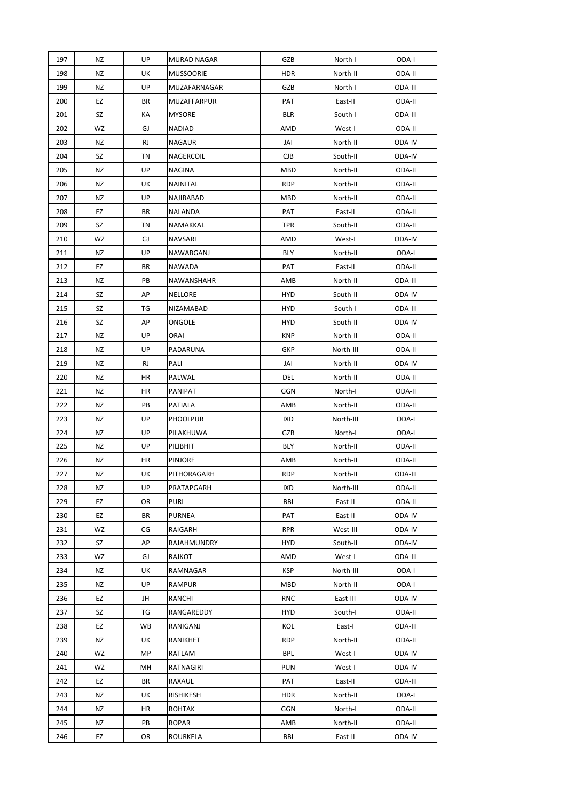| 197 | <b>NZ</b> | UP        | MURAD NAGAR      | GZB        | North-I   | ODA-I   |
|-----|-----------|-----------|------------------|------------|-----------|---------|
| 198 | NZ        | UK        | <b>MUSSOORIE</b> | <b>HDR</b> | North-II  | ODA-II  |
| 199 | NZ        | UP        | MUZAFARNAGAR     | GZB        | North-I   | ODA-III |
| 200 | EZ        | BR        | MUZAFFARPUR      | PAT        | East-II   | ODA-II  |
| 201 | SZ        | KA        | <b>MYSORE</b>    | <b>BLR</b> | South-I   | ODA-III |
| 202 | WZ        | GJ        | NADIAD           | AMD        | West-I    | ODA-II  |
| 203 | NZ        | RJ        | NAGAUR           | JAI        | North-II  | ODA-IV  |
| 204 | SZ        | ΤN        | <b>NAGERCOIL</b> | <b>CJB</b> | South-II  | ODA-IV  |
| 205 | ΝZ        | UP        | <b>NAGINA</b>    | <b>MBD</b> | North-II  | ODA-II  |
| 206 | <b>NZ</b> | UK        | NAINITAL         | <b>RDP</b> | North-II  | ODA-II  |
| 207 | NZ        | UP        | NAJIBABAD        | <b>MBD</b> | North-II  | ODA-II  |
| 208 | EZ        | BR        | NALANDA          | PAT        | East-II   | ODA-II  |
| 209 | SZ        | ΤN        | NAMAKKAL         | <b>TPR</b> | South-II  | ODA-II  |
| 210 | WZ        | GJ        | NAVSARI          | AMD        | West-I    | ODA-IV  |
| 211 | NZ        | UP        | NAWABGANJ        | BLY        | North-II  | ODA-I   |
| 212 | EZ        | BR        | NAWADA           | PAT        | East-II   | ODA-II  |
| 213 | NZ        | PB        | NAWANSHAHR       | AMB        | North-II  | ODA-III |
| 214 | SZ        | AP        | <b>NELLORE</b>   | <b>HYD</b> | South-II  | ODA-IV  |
| 215 | SZ        | ТG        | NIZAMABAD        | <b>HYD</b> | South-I   | ODA-III |
| 216 | SZ        | АP        | ONGOLE           | HYD        | South-II  | ODA-IV  |
| 217 | NZ        | UP        | ORAI             | KNP        | North-II  | ODA-II  |
| 218 | NZ        | UP        | PADARUNA         | GKP        | North-III | ODA-II  |
| 219 | NZ        | <b>RJ</b> | PALI             | JAI        | North-II  | ODA-IV  |
| 220 | NZ        | HR        | PALWAL           | DEL        | North-II  | ODA-II  |
| 221 | ΝZ        | HR        | PANIPAT          | <b>GGN</b> | North-I   | ODA-II  |
| 222 | NZ        | PB        | PATIALA          | AMB        | North-II  | ODA-II  |
| 223 | NZ        | UP        | <b>PHOOLPUR</b>  | <b>IXD</b> | North-III | ODA-I   |
| 224 | ΝZ        | UP        | PILAKHUWA        | GZB        | North-I   | ODA-I   |
| 225 | ΝZ        | UP        | PILIBHIT         | BLY        | North-II  | ODA-II  |
| 226 | NZ        | HR        | PINJORE          | AMB        | North-II  | ODA-II  |
| 227 | NZ        | UK        | PITHORAGARH      | <b>RDP</b> | North-II  | ODA-III |
| 228 | <b>NZ</b> | UP        | PRATAPGARH       | IXD        | North-III | ODA-II  |
| 229 | EZ        | OR        | PURI             | BBI        | East-II   | ODA-II  |
| 230 | EZ        | BR        | <b>PURNEA</b>    | PAT        | East-II   | ODA-IV  |
| 231 | WZ        | CG        | RAIGARH          | RPR        | West-III  | ODA-IV  |
| 232 | SZ        | AP        | RAJAHMUNDRY      | <b>HYD</b> | South-II  | ODA-IV  |
| 233 | WZ        | GJ        | <b>RAJKOT</b>    | AMD        | West-I    | ODA-III |
| 234 | NZ        | UK        | <b>RAMNAGAR</b>  | <b>KSP</b> | North-III | ODA-I   |
| 235 | NZ        | UP        | RAMPUR           | MBD        | North-II  | ODA-I   |
| 236 | EZ        | JH        | RANCHI           | <b>RNC</b> | East-III  | ODA-IV  |
| 237 | SZ        | TG        | RANGAREDDY       | HYD        | South-I   | ODA-II  |
| 238 | EZ        | WB        | RANIGANJ         | KOL        | East-I    | ODA-III |
| 239 | NZ        | UK        | RANIKHET         | <b>RDP</b> | North-II  | ODA-II  |
| 240 | WZ        | MP        | RATLAM           | BPL        | West-I    | ODA-IV  |
| 241 | WZ        | MН        | RATNAGIRI        | <b>PUN</b> | West-I    | ODA-IV  |
| 242 | EZ        | BR        | RAXAUL           | PAT        | East-II   | ODA-III |
| 243 | ΝZ        | UK        | RISHIKESH        | <b>HDR</b> | North-II  | ODA-I   |
| 244 | NZ        | HR        | ROHTAK           | GGN        | North-I   | ODA-II  |
| 245 | NZ        | PB        | <b>ROPAR</b>     | AMB        | North-II  | ODA-II  |
| 246 | EZ        | OR        | ROURKELA         | BBI        | East-II   | ODA-IV  |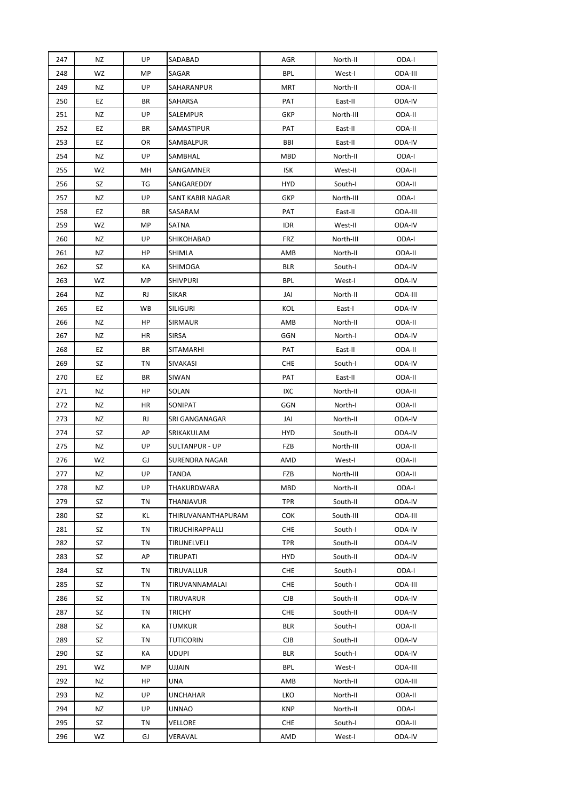| 247 | <b>NZ</b> | UP        | SADABAD               | AGR        | North-II  | ODA-I   |
|-----|-----------|-----------|-----------------------|------------|-----------|---------|
| 248 | WZ        | MP        | SAGAR                 | <b>BPL</b> | West-I    | ODA-III |
| 249 | NZ        | UP        | SAHARANPUR            | <b>MRT</b> | North-II  | ODA-II  |
| 250 | EZ        | BR        | SAHARSA               | PAT        | East-II   | ODA-IV  |
| 251 | <b>NZ</b> | UP        | SALEMPUR              | <b>GKP</b> | North-III | ODA-II  |
| 252 | EZ        | BR        | SAMASTIPUR            | PAT        | East-II   | ODA-II  |
| 253 | EZ        | OR        | SAMBALPUR             | BBI        | East-II   | ODA-IV  |
| 254 | NZ        | UP        | SAMBHAL               | <b>MBD</b> | North-II  | ODA-I   |
| 255 | WZ        | MН        | SANGAMNER             | <b>ISK</b> | West-II   | ODA-II  |
| 256 | SZ        | ТG        | SANGAREDDY            | HYD        | South-I   | ODA-II  |
| 257 | NZ        | UP        | SANT KABIR NAGAR      | GKP        | North-III | ODA-I   |
| 258 | EZ        | BR        | SASARAM               | PAT        | East-II   | ODA-III |
| 259 | WZ        | MP        | <b>SATNA</b>          | <b>IDR</b> | West-II   | ODA-IV  |
| 260 | NZ        | UP        | SHIKOHABAD            | <b>FRZ</b> | North-III | ODA-I   |
| 261 | NZ        | HP        | SHIMLA                | AMB        | North-II  | ODA-II  |
| 262 | SZ        | КA        | SHIMOGA               | <b>BLR</b> | South-I   | ODA-IV  |
| 263 | WZ        | MP        | <b>SHIVPURI</b>       | <b>BPL</b> | West-I    | ODA-IV  |
| 264 | NZ        | <b>RJ</b> | <b>SIKAR</b>          | JAI        | North-II  | ODA-III |
| 265 | EZ        | WB        | <b>SILIGURI</b>       | KOL        | East-I    | ODA-IV  |
| 266 | NZ        | HP        | SIRMAUR               | AMB        | North-II  | ODA-II  |
| 267 | NZ        | HR        | <b>SIRSA</b>          | <b>GGN</b> | North-I   | ODA-IV  |
| 268 | EZ        | BR        | SITAMARHI             | PAT        | East-II   | ODA-II  |
| 269 | SZ        | ΤN        | SIVAKASI              | CHE        | South-I   | ODA-IV  |
| 270 | EZ        | BR        | SIWAN                 | PAT        | East-II   | ODA-II  |
| 271 | ΝZ        | HP        | SOLAN                 | IXC        | North-II  | ODA-II  |
| 272 | NZ        | HR        | SONIPAT               | GGN        | North-I   | ODA-II  |
| 273 | NZ        | RJ        | SRI GANGANAGAR        | JAI        | North-II  | ODA-IV  |
| 274 | SZ        | AP        | SRIKAKULAM            | HYD        | South-II  | ODA-IV  |
| 275 | ΝZ        | UP        | SULTANPUR - UP        | FZB        | North-III | ODA-II  |
| 276 | WZ        | GJ        | <b>SURENDRA NAGAR</b> | AMD        | West-I    | ODA-II  |
| 277 | NZ        | UP        | <b>TANDA</b>          | FZB        | North-III | ODA-II  |
| 278 | NZ        | UP        | THAKURDWARA           | MBD        | North-II  | ODA-I   |
| 279 | SZ        | ΤN        | THANJAVUR             | TPR        | South-II  | ODA-IV  |
| 280 | SZ        | ΚL        | THIRUVANANTHAPURAM    | <b>COK</b> | South-III | ODA-III |
| 281 | SZ        | ΤN        | TIRUCHIRAPPALLI       | <b>CHE</b> | South-I   | ODA-IV  |
| 282 | SZ        | ΤN        | TIRUNELVELI           | <b>TPR</b> | South-II  | ODA-IV  |
| 283 | SZ        | AP        | TIRUPATI              | <b>HYD</b> | South-II  | ODA-IV  |
| 284 | SZ        | ΤN        | TIRUVALLUR            | <b>CHE</b> | South-I   | ODA-I   |
| 285 | SZ        | ΤN        | TIRUVANNAMALAI        | <b>CHE</b> | South-I   | ODA-III |
| 286 | SZ        | ΤN        | <b>TIRUVARUR</b>      | CJB        | South-II  | ODA-IV  |
| 287 | SZ        | ΤN        | TRICHY                | <b>CHE</b> | South-II  | ODA-IV  |
| 288 | SZ        | КA        | TUMKUR                | BLR        | South-I   | ODA-II  |
| 289 | SZ        | ΤN        | TUTICORIN             | <b>CJB</b> | South-II  | ODA-IV  |
| 290 | SZ        | КA        | <b>UDUPI</b>          | BLR        | South-I   | ODA-IV  |
| 291 | WZ        | MP        | UJJAIN                | BPL        | West-I    | ODA-III |
| 292 | NZ        | HP        | UNA                   | AMB        | North-II  | ODA-III |
| 293 | ΝZ        | UP        | UNCHAHAR              | LKO        | North-II  | ODA-II  |
| 294 | ΝZ        | UP        | UNNAO                 | <b>KNP</b> | North-II  | ODA-I   |
| 295 | SZ        | ΤN        | VELLORE               | CHE        | South-I   | ODA-II  |
| 296 | WZ        | GJ        | VERAVAL               | AMD        | West-I    | ODA-IV  |